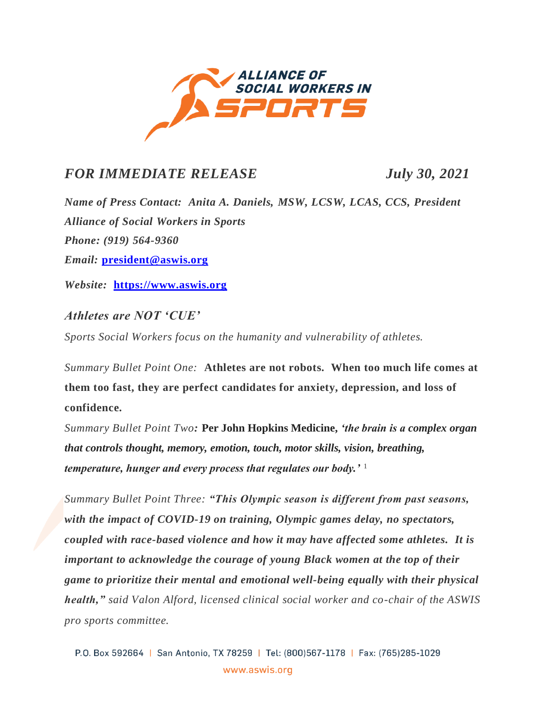

## *FOR IMMEDIATE RELEASE July 30, 2021*

*Name of Press Contact: Anita A. Daniels, MSW, LCSW, LCAS, CCS, President Alliance of Social Workers in Sports Phone: (919) 564-9360 Email:* **[president@aswis.org](mailto:president@aswis.org)**

*Website:* **[https://www.aswis.org](https://www.aswis.org/)**

*Athletes are NOT 'CUE'*

*Sports Social Workers focus on the humanity and vulnerability of athletes.*

*Summary Bullet Point One:* **Athletes are not robots. When too much life comes at them too fast, they are perfect candidates for anxiety, depression, and loss of confidence.** 

*Summary Bullet Point Two:* **Per John Hopkins Medicine,** *'the brain is a complex organ that controls thought, memory, emotion, touch, motor skills, vision, breathing, temperature, hunger and every process that regulates our body.'* <sup>1</sup>

*Summary Bullet Point Three: "This Olympic season is different from past seasons, with the impact of COVID-19 on training, Olympic games delay, no spectators, coupled with race-based violence and how it may have affected some athletes. It is important to acknowledge the courage of young Black women at the top of their game to prioritize their mental and emotional well-being equally with their physical health," said Valon Alford, licensed clinical social worker and co-chair of the ASWIS pro sports committee.*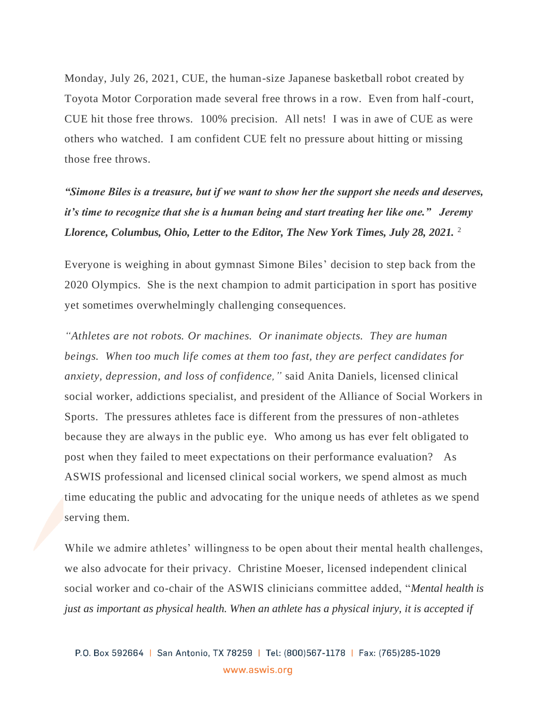Monday, July 26, 2021, CUE, the human-size Japanese basketball robot created by Toyota Motor Corporation made several free throws in a row. Even from half-court, CUE hit those free throws. 100% precision. All nets! I was in awe of CUE as were others who watched. I am confident CUE felt no pressure about hitting or missing those free throws.

*"Simone Biles is a treasure, but if we want to show her the support she needs and deserves, it's time to recognize that she is a human being and start treating her like one." Jeremy Llorence, Columbus, Ohio, Letter to the Editor, The New York Times, July 28, 2021.* <sup>2</sup>

Everyone is weighing in about gymnast Simone Biles' decision to step back from the 2020 Olympics. She is the next champion to admit participation in sport has positive yet sometimes overwhelmingly challenging consequences.

*"Athletes are not robots. Or machines. Or inanimate objects. They are human beings. When too much life comes at them too fast, they are perfect candidates for anxiety, depression, and loss of confidence,"* said Anita Daniels, licensed clinical social worker, addictions specialist, and president of the Alliance of Social Workers in Sports. The pressures athletes face is different from the pressures of non-athletes because they are always in the public eye. Who among us has ever felt obligated to post when they failed to meet expectations on their performance evaluation?As ASWIS professional and licensed clinical social workers, we spend almost as much time educating the public and advocating for the unique needs of athletes as we spend serving them.

While we admire athletes' willingness to be open about their mental health challenges, we also advocate for their privacy. Christine Moeser, licensed independent clinical social worker and co-chair of the ASWIS clinicians committee added, "*Mental health is just as important as physical health. When an athlete has a physical injury, it is accepted if*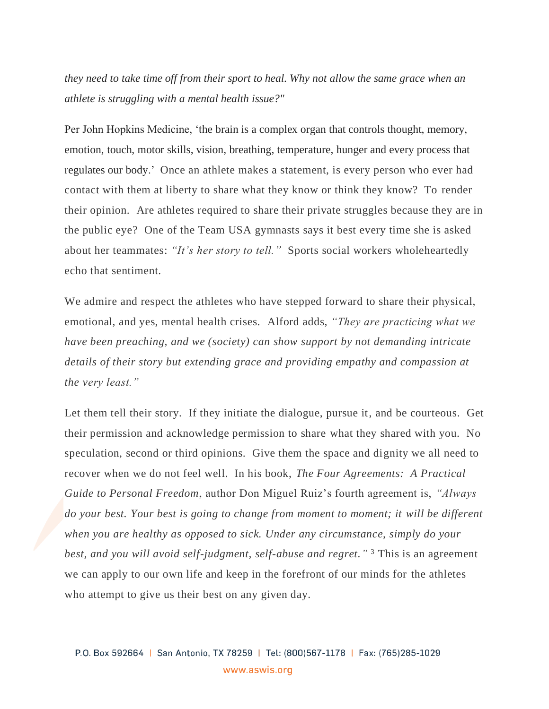*they need to take time off from their sport to heal. Why not allow the same grace when an athlete is struggling with a mental health issue?"*

Per John Hopkins Medicine, 'the brain is a complex organ that controls thought, memory, emotion, touch, motor skills, vision, breathing, temperature, hunger and every process that regulates our body.' Once an athlete makes a statement, is every person who ever had contact with them at liberty to share what they know or think they know? To render their opinion. Are athletes required to share their private struggles because they are in the public eye? One of the Team USA gymnasts says it best every time she is asked about her teammates: *"It's her story to tell."* Sports social workers wholeheartedly echo that sentiment.

We admire and respect the athletes who have stepped forward to share their physical, emotional, and yes, mental health crises. Alford adds, *"They are practicing what we have been preaching, and we (society) can show support by not demanding intricate details of their story but extending grace and providing empathy and compassion at the very least."* 

Let them tell their story. If they initiate the dialogue, pursue it, and be courteous. Get their permission and acknowledge permission to share what they shared with you. No speculation, second or third opinions. Give them the space and dignity we all need to recover when we do not feel well. In his book, *The Four Agreements: A Practical Guide to Personal Freedom*, author Don Miguel Ruiz's fourth agreement is, *"Always do your best. Your best is going to change from moment to moment; it will be different when you are healthy as opposed to sick. Under any circumstance, simply do your best, and you will avoid self-judgment, self-abuse and regret."* <sup>3</sup> This is an agreement we can apply to our own life and keep in the forefront of our minds for the athletes who attempt to give us their best on any given day.